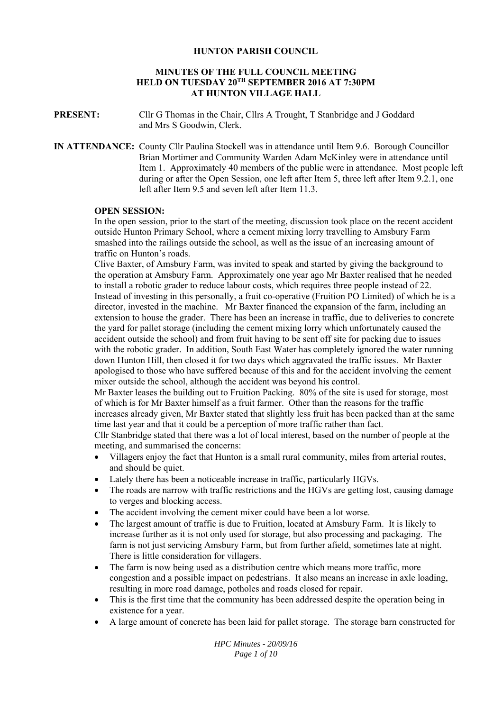## **HUNTON PARISH COUNCIL**

# **MINUTES OF THE FULL COUNCIL MEETING HELD ON TUESDAY 20TH SEPTEMBER 2016 AT 7:30PM AT HUNTON VILLAGE HALL**

**PRESENT:** Cllr G Thomas in the Chair, Cllrs A Trought, T Stanbridge and J Goddard and Mrs S Goodwin, Clerk.

**IN ATTENDANCE:** County Cllr Paulina Stockell was in attendance until Item 9.6. Borough Councillor Brian Mortimer and Community Warden Adam McKinley were in attendance until Item 1. Approximately 40 members of the public were in attendance. Most people left during or after the Open Session, one left after Item 5, three left after Item 9.2.1, one left after Item 9.5 and seven left after Item 11.3.

## **OPEN SESSION:**

In the open session, prior to the start of the meeting, discussion took place on the recent accident outside Hunton Primary School, where a cement mixing lorry travelling to Amsbury Farm smashed into the railings outside the school, as well as the issue of an increasing amount of traffic on Hunton's roads.

Clive Baxter, of Amsbury Farm, was invited to speak and started by giving the background to the operation at Amsbury Farm. Approximately one year ago Mr Baxter realised that he needed to install a robotic grader to reduce labour costs, which requires three people instead of 22. Instead of investing in this personally, a fruit co-operative (Fruition PO Limited) of which he is a director, invested in the machine. Mr Baxter financed the expansion of the farm, including an extension to house the grader. There has been an increase in traffic, due to deliveries to concrete the yard for pallet storage (including the cement mixing lorry which unfortunately caused the accident outside the school) and from fruit having to be sent off site for packing due to issues with the robotic grader. In addition, South East Water has completely ignored the water running down Hunton Hill, then closed it for two days which aggravated the traffic issues. Mr Baxter apologised to those who have suffered because of this and for the accident involving the cement mixer outside the school, although the accident was beyond his control.

Mr Baxter leases the building out to Fruition Packing. 80% of the site is used for storage, most of which is for Mr Baxter himself as a fruit farmer. Other than the reasons for the traffic increases already given, Mr Baxter stated that slightly less fruit has been packed than at the same time last year and that it could be a perception of more traffic rather than fact.

Cllr Stanbridge stated that there was a lot of local interest, based on the number of people at the meeting, and summarised the concerns:

- Villagers enjoy the fact that Hunton is a small rural community, miles from arterial routes, and should be quiet.
- Lately there has been a noticeable increase in traffic, particularly HGVs.
- The roads are narrow with traffic restrictions and the HGVs are getting lost, causing damage to verges and blocking access.
- The accident involving the cement mixer could have been a lot worse.
- The largest amount of traffic is due to Fruition, located at Amsbury Farm. It is likely to increase further as it is not only used for storage, but also processing and packaging. The farm is not just servicing Amsbury Farm, but from further afield, sometimes late at night. There is little consideration for villagers.
- The farm is now being used as a distribution centre which means more traffic, more congestion and a possible impact on pedestrians. It also means an increase in axle loading, resulting in more road damage, potholes and roads closed for repair.
- This is the first time that the community has been addressed despite the operation being in existence for a year.
- A large amount of concrete has been laid for pallet storage. The storage barn constructed for

*HPC Minutes - 20/09/16 Page 1 of 10*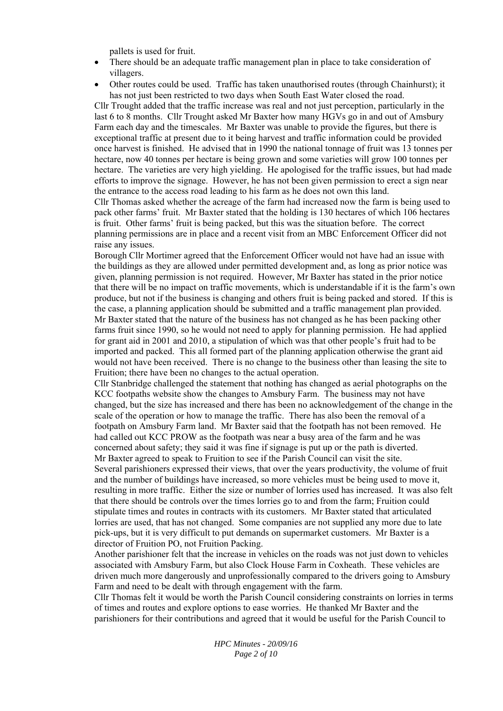pallets is used for fruit.

- There should be an adequate traffic management plan in place to take consideration of villagers.
- Other routes could be used. Traffic has taken unauthorised routes (through Chainhurst); it has not just been restricted to two days when South East Water closed the road.

Cllr Trought added that the traffic increase was real and not just perception, particularly in the last 6 to 8 months. Cllr Trought asked Mr Baxter how many HGVs go in and out of Amsbury Farm each day and the timescales. Mr Baxter was unable to provide the figures, but there is exceptional traffic at present due to it being harvest and traffic information could be provided once harvest is finished. He advised that in 1990 the national tonnage of fruit was 13 tonnes per hectare, now 40 tonnes per hectare is being grown and some varieties will grow 100 tonnes per hectare. The varieties are very high yielding. He apologised for the traffic issues, but had made efforts to improve the signage. However, he has not been given permission to erect a sign near the entrance to the access road leading to his farm as he does not own this land.

Cllr Thomas asked whether the acreage of the farm had increased now the farm is being used to pack other farms' fruit. Mr Baxter stated that the holding is 130 hectares of which 106 hectares is fruit. Other farms' fruit is being packed, but this was the situation before. The correct planning permissions are in place and a recent visit from an MBC Enforcement Officer did not raise any issues.

Borough Cllr Mortimer agreed that the Enforcement Officer would not have had an issue with the buildings as they are allowed under permitted development and, as long as prior notice was given, planning permission is not required. However, Mr Baxter has stated in the prior notice that there will be no impact on traffic movements, which is understandable if it is the farm's own produce, but not if the business is changing and others fruit is being packed and stored. If this is the case, a planning application should be submitted and a traffic management plan provided. Mr Baxter stated that the nature of the business has not changed as he has been packing other farms fruit since 1990, so he would not need to apply for planning permission. He had applied for grant aid in 2001 and 2010, a stipulation of which was that other people's fruit had to be imported and packed. This all formed part of the planning application otherwise the grant aid would not have been received. There is no change to the business other than leasing the site to Fruition; there have been no changes to the actual operation.

Cllr Stanbridge challenged the statement that nothing has changed as aerial photographs on the KCC footpaths website show the changes to Amsbury Farm. The business may not have changed, but the size has increased and there has been no acknowledgement of the change in the scale of the operation or how to manage the traffic. There has also been the removal of a footpath on Amsbury Farm land. Mr Baxter said that the footpath has not been removed. He had called out KCC PROW as the footpath was near a busy area of the farm and he was concerned about safety; they said it was fine if signage is put up or the path is diverted. Mr Baxter agreed to speak to Fruition to see if the Parish Council can visit the site.

Several parishioners expressed their views, that over the years productivity, the volume of fruit and the number of buildings have increased, so more vehicles must be being used to move it, resulting in more traffic. Either the size or number of lorries used has increased. It was also felt that there should be controls over the times lorries go to and from the farm; Fruition could stipulate times and routes in contracts with its customers. Mr Baxter stated that articulated lorries are used, that has not changed. Some companies are not supplied any more due to late pick-ups, but it is very difficult to put demands on supermarket customers. Mr Baxter is a director of Fruition PO, not Fruition Packing.

Another parishioner felt that the increase in vehicles on the roads was not just down to vehicles associated with Amsbury Farm, but also Clock House Farm in Coxheath. These vehicles are driven much more dangerously and unprofessionally compared to the drivers going to Amsbury Farm and need to be dealt with through engagement with the farm.

Cllr Thomas felt it would be worth the Parish Council considering constraints on lorries in terms of times and routes and explore options to ease worries. He thanked Mr Baxter and the parishioners for their contributions and agreed that it would be useful for the Parish Council to

> *HPC Minutes - 20/09/16 Page 2 of 10*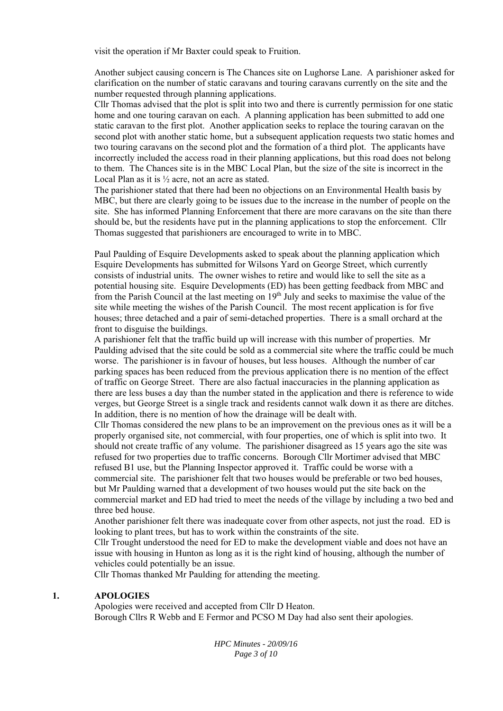visit the operation if Mr Baxter could speak to Fruition.

Another subject causing concern is The Chances site on Lughorse Lane. A parishioner asked for clarification on the number of static caravans and touring caravans currently on the site and the number requested through planning applications.

Cllr Thomas advised that the plot is split into two and there is currently permission for one static home and one touring caravan on each. A planning application has been submitted to add one static caravan to the first plot. Another application seeks to replace the touring caravan on the second plot with another static home, but a subsequent application requests two static homes and two touring caravans on the second plot and the formation of a third plot. The applicants have incorrectly included the access road in their planning applications, but this road does not belong to them. The Chances site is in the MBC Local Plan, but the size of the site is incorrect in the Local Plan as it is ½ acre, not an acre as stated.

The parishioner stated that there had been no objections on an Environmental Health basis by MBC, but there are clearly going to be issues due to the increase in the number of people on the site. She has informed Planning Enforcement that there are more caravans on the site than there should be, but the residents have put in the planning applications to stop the enforcement. Cllr Thomas suggested that parishioners are encouraged to write in to MBC.

Paul Paulding of Esquire Developments asked to speak about the planning application which Esquire Developments has submitted for Wilsons Yard on George Street, which currently consists of industrial units. The owner wishes to retire and would like to sell the site as a potential housing site. Esquire Developments (ED) has been getting feedback from MBC and from the Parish Council at the last meeting on  $19<sup>th</sup>$  July and seeks to maximise the value of the site while meeting the wishes of the Parish Council. The most recent application is for five houses; three detached and a pair of semi-detached properties. There is a small orchard at the front to disguise the buildings.

A parishioner felt that the traffic build up will increase with this number of properties. Mr Paulding advised that the site could be sold as a commercial site where the traffic could be much worse. The parishioner is in favour of houses, but less houses. Although the number of car parking spaces has been reduced from the previous application there is no mention of the effect of traffic on George Street. There are also factual inaccuracies in the planning application as there are less buses a day than the number stated in the application and there is reference to wide verges, but George Street is a single track and residents cannot walk down it as there are ditches. In addition, there is no mention of how the drainage will be dealt with.

Cllr Thomas considered the new plans to be an improvement on the previous ones as it will be a properly organised site, not commercial, with four properties, one of which is split into two. It should not create traffic of any volume. The parishioner disagreed as 15 years ago the site was refused for two properties due to traffic concerns. Borough Cllr Mortimer advised that MBC refused B1 use, but the Planning Inspector approved it. Traffic could be worse with a commercial site. The parishioner felt that two houses would be preferable or two bed houses, but Mr Paulding warned that a development of two houses would put the site back on the commercial market and ED had tried to meet the needs of the village by including a two bed and three bed house.

Another parishioner felt there was inadequate cover from other aspects, not just the road. ED is looking to plant trees, but has to work within the constraints of the site.

Cllr Trought understood the need for ED to make the development viable and does not have an issue with housing in Hunton as long as it is the right kind of housing, although the number of vehicles could potentially be an issue.

Cllr Thomas thanked Mr Paulding for attending the meeting.

#### **1. APOLOGIES**

Apologies were received and accepted from Cllr D Heaton. Borough Cllrs R Webb and E Fermor and PCSO M Day had also sent their apologies.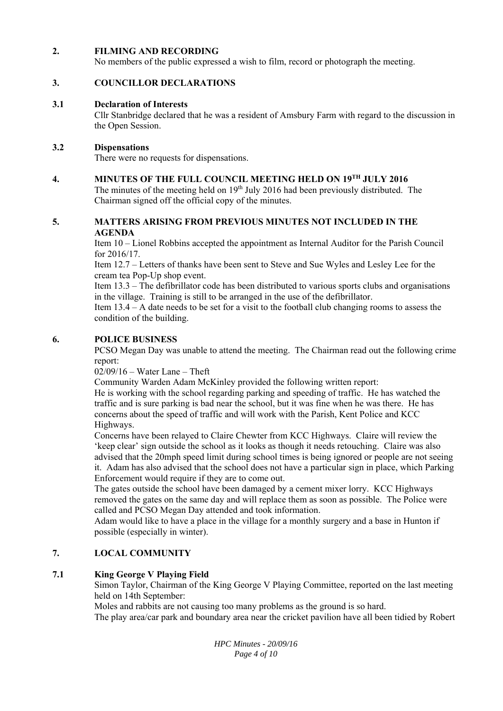#### **2. FILMING AND RECORDING**

No members of the public expressed a wish to film, record or photograph the meeting.

#### **3. COUNCILLOR DECLARATIONS**

#### **3.1 Declaration of Interests**

Cllr Stanbridge declared that he was a resident of Amsbury Farm with regard to the discussion in the Open Session.

#### **3.2 Dispensations**

There were no requests for dispensations.

#### **4. MINUTES OF THE FULL COUNCIL MEETING HELD ON 19TH JULY 2016**

The minutes of the meeting held on  $19<sup>th</sup>$  July 2016 had been previously distributed. The Chairman signed off the official copy of the minutes.

### **5. MATTERS ARISING FROM PREVIOUS MINUTES NOT INCLUDED IN THE AGENDA**

Item 10 – Lionel Robbins accepted the appointment as Internal Auditor for the Parish Council for 2016/17.

Item 12.7 – Letters of thanks have been sent to Steve and Sue Wyles and Lesley Lee for the cream tea Pop-Up shop event.

Item 13.3 – The defibrillator code has been distributed to various sports clubs and organisations in the village. Training is still to be arranged in the use of the defibrillator.

Item 13.4 – A date needs to be set for a visit to the football club changing rooms to assess the condition of the building.

#### **6. POLICE BUSINESS**

PCSO Megan Day was unable to attend the meeting. The Chairman read out the following crime report:

02/09/16 – Water Lane – Theft

Community Warden Adam McKinley provided the following written report:

He is working with the school regarding parking and speeding of traffic. He has watched the traffic and is sure parking is bad near the school, but it was fine when he was there. He has concerns about the speed of traffic and will work with the Parish, Kent Police and KCC Highways.

Concerns have been relayed to Claire Chewter from KCC Highways. Claire will review the 'keep clear' sign outside the school as it looks as though it needs retouching. Claire was also advised that the 20mph speed limit during school times is being ignored or people are not seeing it. Adam has also advised that the school does not have a particular sign in place, which Parking Enforcement would require if they are to come out.

The gates outside the school have been damaged by a cement mixer lorry. KCC Highways removed the gates on the same day and will replace them as soon as possible. The Police were called and PCSO Megan Day attended and took information.

Adam would like to have a place in the village for a monthly surgery and a base in Hunton if possible (especially in winter).

#### **7. LOCAL COMMUNITY**

#### **7.1 King George V Playing Field**

Simon Taylor, Chairman of the King George V Playing Committee, reported on the last meeting held on 14th September:

Moles and rabbits are not causing too many problems as the ground is so hard.

The play area/car park and boundary area near the cricket pavilion have all been tidied by Robert

*HPC Minutes - 20/09/16 Page 4 of 10*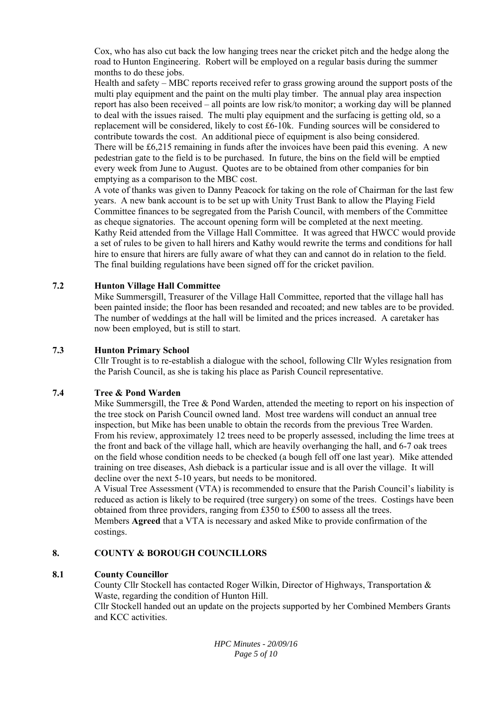Cox, who has also cut back the low hanging trees near the cricket pitch and the hedge along the road to Hunton Engineering. Robert will be employed on a regular basis during the summer months to do these jobs.

Health and safety – MBC reports received refer to grass growing around the support posts of the multi play equipment and the paint on the multi play timber. The annual play area inspection report has also been received – all points are low risk/to monitor; a working day will be planned to deal with the issues raised. The multi play equipment and the surfacing is getting old, so a replacement will be considered, likely to cost £6-10k. Funding sources will be considered to contribute towards the cost. An additional piece of equipment is also being considered. There will be £6,215 remaining in funds after the invoices have been paid this evening. A new pedestrian gate to the field is to be purchased. In future, the bins on the field will be emptied every week from June to August. Quotes are to be obtained from other companies for bin emptying as a comparison to the MBC cost.

A vote of thanks was given to Danny Peacock for taking on the role of Chairman for the last few years. A new bank account is to be set up with Unity Trust Bank to allow the Playing Field Committee finances to be segregated from the Parish Council, with members of the Committee as cheque signatories. The account opening form will be completed at the next meeting. Kathy Reid attended from the Village Hall Committee. It was agreed that HWCC would provide a set of rules to be given to hall hirers and Kathy would rewrite the terms and conditions for hall hire to ensure that hirers are fully aware of what they can and cannot do in relation to the field. The final building regulations have been signed off for the cricket pavilion.

#### **7.2 Hunton Village Hall Committee**

Mike Summersgill, Treasurer of the Village Hall Committee, reported that the village hall has been painted inside; the floor has been resanded and recoated; and new tables are to be provided. The number of weddings at the hall will be limited and the prices increased. A caretaker has now been employed, but is still to start.

#### **7.3 Hunton Primary School**

Cllr Trought is to re-establish a dialogue with the school, following Cllr Wyles resignation from the Parish Council, as she is taking his place as Parish Council representative.

#### **7.4 Tree & Pond Warden**

Mike Summersgill, the Tree & Pond Warden, attended the meeting to report on his inspection of the tree stock on Parish Council owned land. Most tree wardens will conduct an annual tree inspection, but Mike has been unable to obtain the records from the previous Tree Warden. From his review, approximately 12 trees need to be properly assessed, including the lime trees at the front and back of the village hall, which are heavily overhanging the hall, and 6-7 oak trees on the field whose condition needs to be checked (a bough fell off one last year). Mike attended training on tree diseases, Ash dieback is a particular issue and is all over the village. It will decline over the next 5-10 years, but needs to be monitored.

A Visual Tree Assessment (VTA) is recommended to ensure that the Parish Council's liability is reduced as action is likely to be required (tree surgery) on some of the trees. Costings have been obtained from three providers, ranging from £350 to £500 to assess all the trees. Members **Agreed** that a VTA is necessary and asked Mike to provide confirmation of the costings.

#### **8. COUNTY & BOROUGH COUNCILLORS**

#### **8.1 County Councillor**

County Cllr Stockell has contacted Roger Wilkin, Director of Highways, Transportation & Waste, regarding the condition of Hunton Hill.

Cllr Stockell handed out an update on the projects supported by her Combined Members Grants and KCC activities.

> *HPC Minutes - 20/09/16 Page 5 of 10*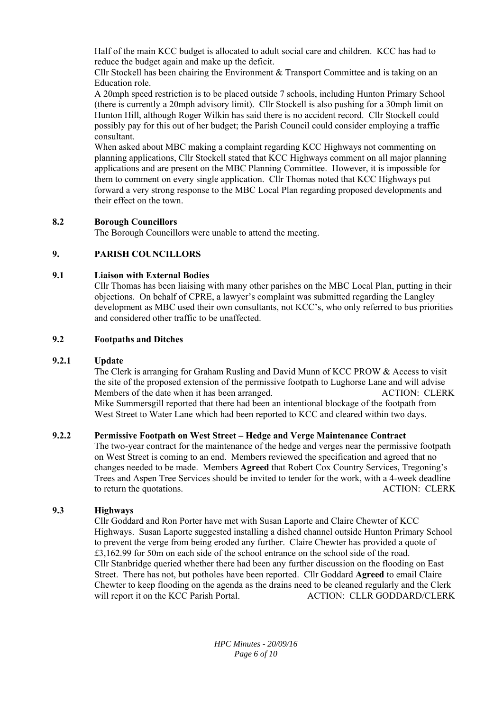Half of the main KCC budget is allocated to adult social care and children. KCC has had to reduce the budget again and make up the deficit.

Cllr Stockell has been chairing the Environment & Transport Committee and is taking on an Education role.

A 20mph speed restriction is to be placed outside 7 schools, including Hunton Primary School (there is currently a 20mph advisory limit). Cllr Stockell is also pushing for a 30mph limit on Hunton Hill, although Roger Wilkin has said there is no accident record. Cllr Stockell could possibly pay for this out of her budget; the Parish Council could consider employing a traffic consultant.

When asked about MBC making a complaint regarding KCC Highways not commenting on planning applications, Cllr Stockell stated that KCC Highways comment on all major planning applications and are present on the MBC Planning Committee. However, it is impossible for them to comment on every single application. Cllr Thomas noted that KCC Highways put forward a very strong response to the MBC Local Plan regarding proposed developments and their effect on the town.

#### **8.2 Borough Councillors**

The Borough Councillors were unable to attend the meeting.

#### **9. PARISH COUNCILLORS**

#### **9.1 Liaison with External Bodies**

Cllr Thomas has been liaising with many other parishes on the MBC Local Plan, putting in their objections. On behalf of CPRE, a lawyer's complaint was submitted regarding the Langley development as MBC used their own consultants, not KCC's, who only referred to bus priorities and considered other traffic to be unaffected.

#### **9.2 Footpaths and Ditches**

#### **9.2.1 Update**

The Clerk is arranging for Graham Rusling and David Munn of KCC PROW & Access to visit the site of the proposed extension of the permissive footpath to Lughorse Lane and will advise Members of the date when it has been arranged. ACTION: CLERK Mike Summersgill reported that there had been an intentional blockage of the footpath from West Street to Water Lane which had been reported to KCC and cleared within two days.

#### **9.2.2 Permissive Footpath on West Street – Hedge and Verge Maintenance Contract**

The two-year contract for the maintenance of the hedge and verges near the permissive footpath on West Street is coming to an end. Members reviewed the specification and agreed that no changes needed to be made. Members **Agreed** that Robert Cox Country Services, Tregoning's Trees and Aspen Tree Services should be invited to tender for the work, with a 4-week deadline to return the quotations. ACTION: CLERK

#### **9.3 Highways**

Cllr Goddard and Ron Porter have met with Susan Laporte and Claire Chewter of KCC Highways. Susan Laporte suggested installing a dished channel outside Hunton Primary School to prevent the verge from being eroded any further. Claire Chewter has provided a quote of £3,162.99 for 50m on each side of the school entrance on the school side of the road. Cllr Stanbridge queried whether there had been any further discussion on the flooding on East Street. There has not, but potholes have been reported. Cllr Goddard **Agreed** to email Claire Chewter to keep flooding on the agenda as the drains need to be cleaned regularly and the Clerk will report it on the KCC Parish Portal. ACTION: CLLR GODDARD/CLERK

> *HPC Minutes - 20/09/16 Page 6 of 10*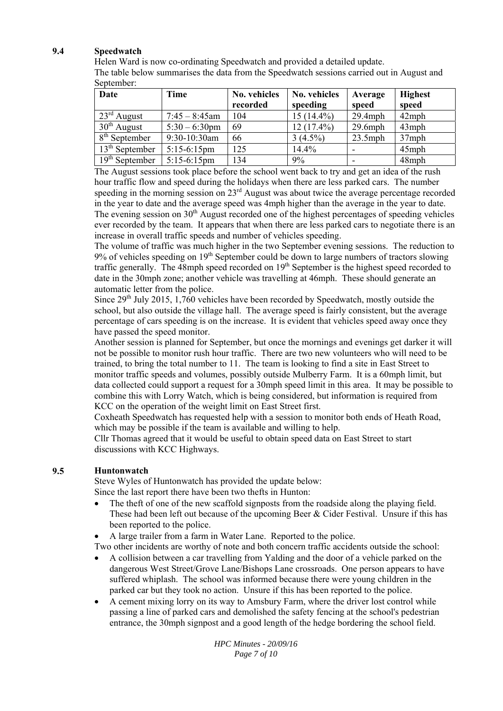#### **9.4 Speedwatch**

Helen Ward is now co-ordinating Speedwatch and provided a detailed update.

The table below summarises the data from the Speedwatch sessions carried out in August and September:

| Date                    | <b>Time</b>      | No. vehicles<br>recorded | No. vehicles<br>speeding | Average<br>speed | <b>Highest</b><br>speed |
|-------------------------|------------------|--------------------------|--------------------------|------------------|-------------------------|
| $23^{\text{rd}}$ August | $7:45 - 8:45$ am | 104                      | $15(14.4\%)$             | $29.4$ mph       | $42$ mph                |
| $30th$ August           | $5:30 - 6:30$ pm | 69                       | $12(17.4\%)$             | $29.6$ mph       | $43$ mph                |
| $8th$ September         | 9:30-10:30am     | 66                       | $3(4.5\%)$               | $23.5$ mph       | $37$ mph                |
| $13th$ September        | $5:15-6:15$ pm   | 125                      | 14.4%                    |                  | $45$ mph                |
| $19th$ September        | $5:15-6:15$ pm   | 134                      | 9%                       |                  | 48mph                   |

The August sessions took place before the school went back to try and get an idea of the rush hour traffic flow and speed during the holidays when there are less parked cars. The number speeding in the morning session on 23<sup>rd</sup> August was about twice the average percentage recorded in the year to date and the average speed was 4mph higher than the average in the year to date. The evening session on  $30<sup>th</sup>$  August recorded one of the highest percentages of speeding vehicles ever recorded by the team. It appears that when there are less parked cars to negotiate there is an increase in overall traffic speeds and number of vehicles speeding.

The volume of traffic was much higher in the two September evening sessions. The reduction to 9% of vehicles speeding on 19<sup>th</sup> September could be down to large numbers of tractors slowing traffic generally. The 48mph speed recorded on 19<sup>th</sup> September is the highest speed recorded to date in the 30mph zone; another vehicle was travelling at 46mph. These should generate an automatic letter from the police.

Since  $29<sup>th</sup>$  July 2015, 1,760 vehicles have been recorded by Speedwatch, mostly outside the school, but also outside the village hall. The average speed is fairly consistent, but the average percentage of cars speeding is on the increase. It is evident that vehicles speed away once they have passed the speed monitor.

Another session is planned for September, but once the mornings and evenings get darker it will not be possible to monitor rush hour traffic. There are two new volunteers who will need to be trained, to bring the total number to 11. The team is looking to find a site in East Street to monitor traffic speeds and volumes, possibly outside Mulberry Farm. It is a 60mph limit, but data collected could support a request for a 30mph speed limit in this area. It may be possible to combine this with Lorry Watch, which is being considered, but information is required from KCC on the operation of the weight limit on East Street first.

Coxheath Speedwatch has requested help with a session to monitor both ends of Heath Road, which may be possible if the team is available and willing to help.

Cllr Thomas agreed that it would be useful to obtain speed data on East Street to start discussions with KCC Highways.

#### **9.5 Huntonwatch**

Steve Wyles of Huntonwatch has provided the update below:

Since the last report there have been two thefts in Hunton:

- The theft of one of the new scaffold signposts from the roadside along the playing field. These had been left out because of the upcoming Beer  $&$  Cider Festival. Unsure if this has been reported to the police.
- A large trailer from a farm in Water Lane. Reported to the police.

Two other incidents are worthy of note and both concern traffic accidents outside the school:

- A collision between a car travelling from Yalding and the door of a vehicle parked on the dangerous West Street/Grove Lane/Bishops Lane crossroads. One person appears to have suffered whiplash. The school was informed because there were young children in the parked car but they took no action. Unsure if this has been reported to the police.
- A cement mixing lorry on its way to Amsbury Farm, where the driver lost control while passing a line of parked cars and demolished the safety fencing at the school's pedestrian entrance, the 30mph signpost and a good length of the hedge bordering the school field.

*HPC Minutes - 20/09/16 Page 7 of 10*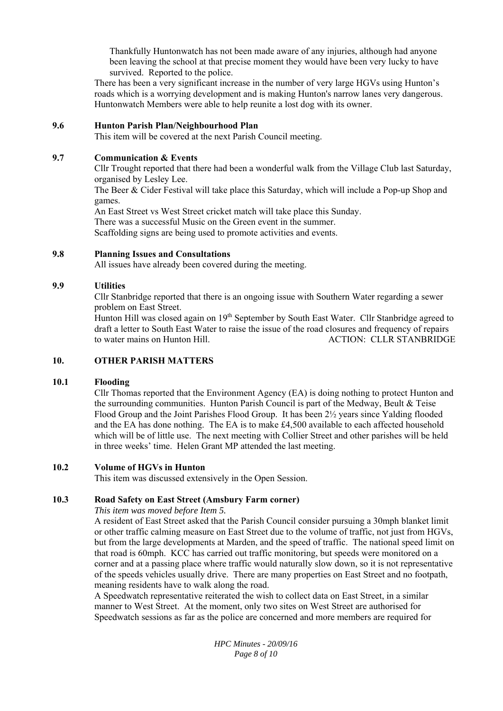Thankfully Huntonwatch has not been made aware of any injuries, although had anyone been leaving the school at that precise moment they would have been very lucky to have survived. Reported to the police.

There has been a very significant increase in the number of very large HGVs using Hunton's roads which is a worrying development and is making Hunton's narrow lanes very dangerous. Huntonwatch Members were able to help reunite a lost dog with its owner.

#### **9.6 Hunton Parish Plan/Neighbourhood Plan**

This item will be covered at the next Parish Council meeting.

#### **9.7 Communication & Events**

Cllr Trought reported that there had been a wonderful walk from the Village Club last Saturday, organised by Lesley Lee.

The Beer & Cider Festival will take place this Saturday, which will include a Pop-up Shop and games.

An East Street vs West Street cricket match will take place this Sunday.

There was a successful Music on the Green event in the summer.

Scaffolding signs are being used to promote activities and events.

#### **9.8 Planning Issues and Consultations**

All issues have already been covered during the meeting.

#### **9.9 Utilities**

Cllr Stanbridge reported that there is an ongoing issue with Southern Water regarding a sewer problem on East Street.

Hunton Hill was closed again on 19<sup>th</sup> September by South East Water. Cllr Stanbridge agreed to draft a letter to South East Water to raise the issue of the road closures and frequency of repairs to water mains on Hunton Hill. ACTION: CLLR STANBRIDGE

#### **10. OTHER PARISH MATTERS**

#### **10.1 Flooding**

Cllr Thomas reported that the Environment Agency (EA) is doing nothing to protect Hunton and the surrounding communities. Hunton Parish Council is part of the Medway, Beult & Teise Flood Group and the Joint Parishes Flood Group. It has been 2½ years since Yalding flooded and the EA has done nothing. The EA is to make £4,500 available to each affected household which will be of little use. The next meeting with Collier Street and other parishes will be held in three weeks' time. Helen Grant MP attended the last meeting.

#### **10.2 Volume of HGVs in Hunton**

This item was discussed extensively in the Open Session.

#### **10.3 Road Safety on East Street (Amsbury Farm corner)**

## *This item was moved before Item 5.*

A resident of East Street asked that the Parish Council consider pursuing a 30mph blanket limit or other traffic calming measure on East Street due to the volume of traffic, not just from HGVs, but from the large developments at Marden, and the speed of traffic. The national speed limit on that road is 60mph. KCC has carried out traffic monitoring, but speeds were monitored on a corner and at a passing place where traffic would naturally slow down, so it is not representative of the speeds vehicles usually drive. There are many properties on East Street and no footpath, meaning residents have to walk along the road.

A Speedwatch representative reiterated the wish to collect data on East Street, in a similar manner to West Street. At the moment, only two sites on West Street are authorised for Speedwatch sessions as far as the police are concerned and more members are required for

> *HPC Minutes - 20/09/16 Page 8 of 10*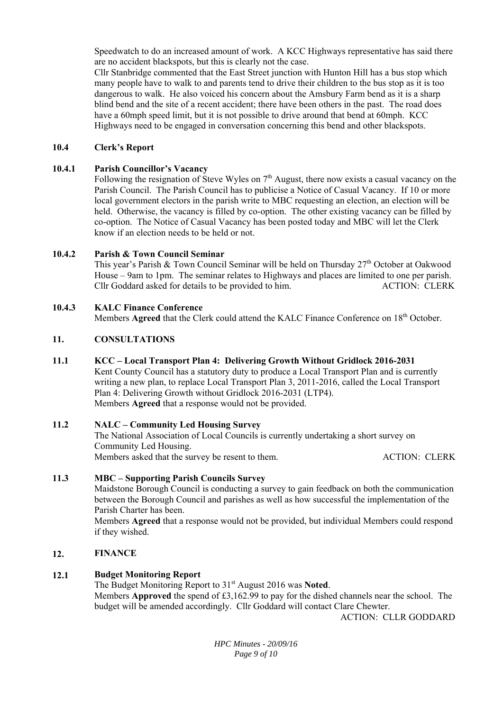Speedwatch to do an increased amount of work. A KCC Highways representative has said there are no accident blackspots, but this is clearly not the case.

Cllr Stanbridge commented that the East Street junction with Hunton Hill has a bus stop which many people have to walk to and parents tend to drive their children to the bus stop as it is too dangerous to walk. He also voiced his concern about the Amsbury Farm bend as it is a sharp blind bend and the site of a recent accident; there have been others in the past. The road does have a 60mph speed limit, but it is not possible to drive around that bend at 60mph. KCC Highways need to be engaged in conversation concerning this bend and other blackspots.

#### **10.4 Clerk's Report**

#### **10.4.1 Parish Councillor's Vacancy**

Following the resignation of Steve Wyles on 7<sup>th</sup> August, there now exists a casual vacancy on the Parish Council. The Parish Council has to publicise a Notice of Casual Vacancy. If 10 or more local government electors in the parish write to MBC requesting an election, an election will be held. Otherwise, the vacancy is filled by co-option. The other existing vacancy can be filled by co-option. The Notice of Casual Vacancy has been posted today and MBC will let the Clerk know if an election needs to be held or not.

#### **10.4.2 Parish & Town Council Seminar**

This year's Parish & Town Council Seminar will be held on Thursday 27<sup>th</sup> October at Oakwood House – 9am to 1pm. The seminar relates to Highways and places are limited to one per parish. Cllr Goddard asked for details to be provided to him. ACTION: CLERK

#### **10.4.3 KALC Finance Conference**

Members **Agreed** that the Clerk could attend the KALC Finance Conference on 18<sup>th</sup> October.

#### **11. CONSULTATIONS**

#### **11.1 KCC – Local Transport Plan 4: Delivering Growth Without Gridlock 2016-2031**

Kent County Council has a statutory duty to produce a Local Transport Plan and is currently writing a new plan, to replace Local Transport Plan 3, 2011-2016, called the Local Transport Plan 4: Delivering Growth without Gridlock 2016-2031 (LTP4). Members **Agreed** that a response would not be provided.

#### **11.2 NALC – Community Led Housing Survey**

The National Association of Local Councils is currently undertaking a short survey on Community Led Housing. Members asked that the survey be resent to them. ACTION: CLERK

#### **11.3 MBC – Supporting Parish Councils Survey**

Maidstone Borough Council is conducting a survey to gain feedback on both the communication between the Borough Council and parishes as well as how successful the implementation of the Parish Charter has been.

Members **Agreed** that a response would not be provided, but individual Members could respond if they wished.

#### **12. FINANCE**

#### **12.1 Budget Monitoring Report**

The Budget Monitoring Report to 31<sup>st</sup> August 2016 was Noted. Members **Approved** the spend of £3,162.99 to pay for the dished channels near the school. The budget will be amended accordingly. Cllr Goddard will contact Clare Chewter.

ACTION: CLLR GODDARD